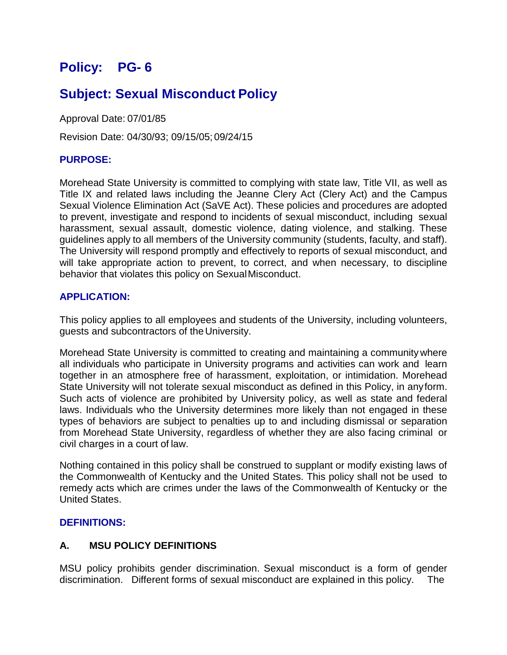# **Policy: PG- 6**

# **Subject: Sexual Misconduct Policy**

Approval Date: 07/01/85

Revision Date: 04/30/93; 09/15/05; 09/24/15

# **PURPOSE:**

Morehead State University is committed to complying with state law, Title VII, as well as Title IX and related laws including the Jeanne Clery Act (Clery Act) and the Campus Sexual Violence Elimination Act (SaVE Act). These policies and procedures are adopted to prevent, investigate and respond to incidents of sexual misconduct, including sexual harassment, sexual assault, domestic violence, dating violence, and stalking. These guidelines apply to all members of the University community (students, faculty, and staff). The University will respond promptly and effectively to reports of sexual misconduct, and will take appropriate action to prevent, to correct, and when necessary, to discipline behavior that violates this policy on SexualMisconduct.

# **APPLICATION:**

This policy applies to all employees and students of the University, including volunteers, guests and subcontractors of theUniversity.

Morehead State University is committed to creating and maintaining a community where all individuals who participate in University programs and activities can work and learn together in an atmosphere free of harassment, exploitation, or intimidation. Morehead State University will not tolerate sexual misconduct as defined in this Policy, in anyform. Such acts of violence are prohibited by University policy, as well as state and federal laws. Individuals who the University determines more likely than not engaged in these types of behaviors are subject to penalties up to and including dismissal or separation from Morehead State University, regardless of whether they are also facing criminal or civil charges in a court of law.

Nothing contained in this policy shall be construed to supplant or modify existing laws of the Commonwealth of Kentucky and the United States. This policy shall not be used to remedy acts which are crimes under the laws of the Commonwealth of Kentucky or the United States.

# **DEFINITIONS:**

# **A. MSU POLICY DEFINITIONS**

MSU policy prohibits gender discrimination. Sexual misconduct is a form of gender discrimination. Different forms of sexual misconduct are explained in this policy. The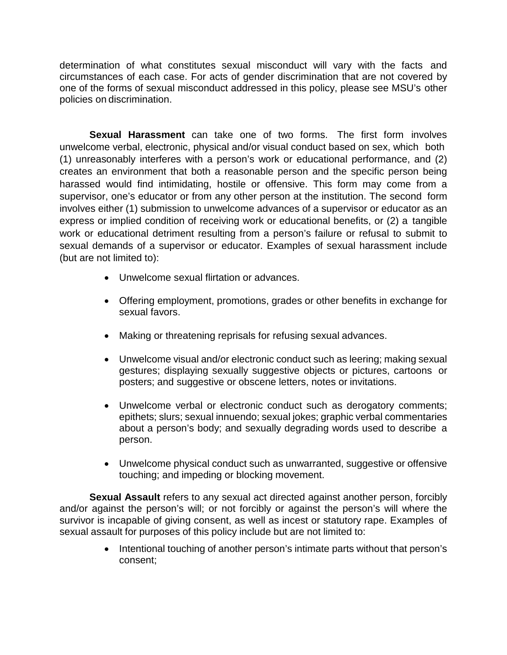determination of what constitutes sexual misconduct will vary with the facts and circumstances of each case. For acts of gender discrimination that are not covered by one of the forms of sexual misconduct addressed in this policy, please see MSU's other policies on discrimination.

**Sexual Harassment** can take one of two forms. The first form involves unwelcome verbal, electronic, physical and/or visual conduct based on sex, which both (1) unreasonably interferes with a person's work or educational performance, and (2) creates an environment that both a reasonable person and the specific person being harassed would find intimidating, hostile or offensive. This form may come from a supervisor, one's educator or from any other person at the institution. The second form involves either (1) submission to unwelcome advances of a supervisor or educator as an express or implied condition of receiving work or educational benefits, or (2) a tangible work or educational detriment resulting from a person's failure or refusal to submit to sexual demands of a supervisor or educator. Examples of sexual harassment include (but are not limited to):

- Unwelcome sexual flirtation or advances.
- Offering employment, promotions, grades or other benefits in exchange for sexual favors.
- Making or threatening reprisals for refusing sexual advances.
- Unwelcome visual and/or electronic conduct such as leering; making sexual gestures; displaying sexually suggestive objects or pictures, cartoons or posters; and suggestive or obscene letters, notes or invitations.
- Unwelcome verbal or electronic conduct such as derogatory comments; epithets; slurs; sexual innuendo; sexual jokes; graphic verbal commentaries about a person's body; and sexually degrading words used to describe a person.
- Unwelcome physical conduct such as unwarranted, suggestive or offensive touching; and impeding or blocking movement.

**Sexual Assault** refers to any sexual act directed against another person, forcibly and/or against the person's will; or not forcibly or against the person's will where the survivor is incapable of giving consent, as well as incest or statutory rape. Examples of sexual assault for purposes of this policy include but are not limited to:

> • Intentional touching of another person's intimate parts without that person's consent;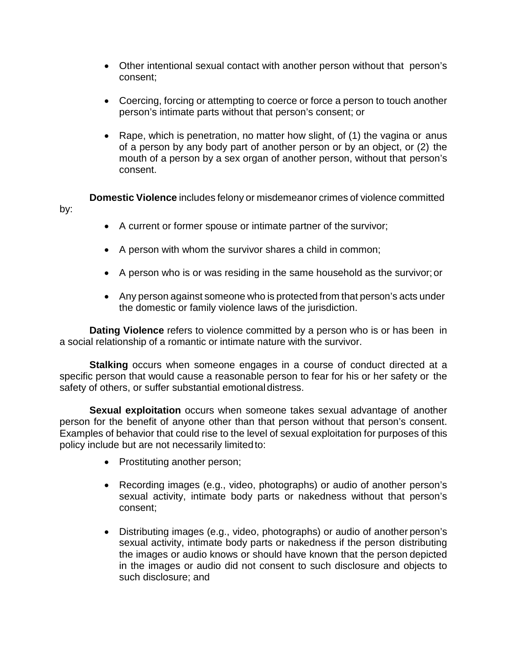- Other intentional sexual contact with another person without that person's consent;
- Coercing, forcing or attempting to coerce or force a person to touch another person's intimate parts without that person's consent; or
- Rape, which is penetration, no matter how slight, of (1) the vagina or anus of a person by any body part of another person or by an object, or (2) the mouth of a person by a sex organ of another person, without that person's consent.

by: **Domestic Violence** includes felony or misdemeanor crimes of violence committed

- A current or former spouse or intimate partner of the survivor;
- A person with whom the survivor shares a child in common;
- A person who is or was residing in the same household as the survivor;or
- Any person against someone who is protected from that person's acts under the domestic or family violence laws of the jurisdiction.

**Dating Violence** refers to violence committed by a person who is or has been in a social relationship of a romantic or intimate nature with the survivor.

**Stalking** occurs when someone engages in a course of conduct directed at a specific person that would cause a reasonable person to fear for his or her safety or the safety of others, or suffer substantial emotional distress.

**Sexual exploitation** occurs when someone takes sexual advantage of another person for the benefit of anyone other than that person without that person's consent. Examples of behavior that could rise to the level of sexual exploitation for purposes of this policy include but are not necessarily limitedto:

- Prostituting another person;
- Recording images (e.g., video, photographs) or audio of another person's sexual activity, intimate body parts or nakedness without that person's consent;
- Distributing images (e.g., video, photographs) or audio of another person's sexual activity, intimate body parts or nakedness if the person distributing the images or audio knows or should have known that the person depicted in the images or audio did not consent to such disclosure and objects to such disclosure; and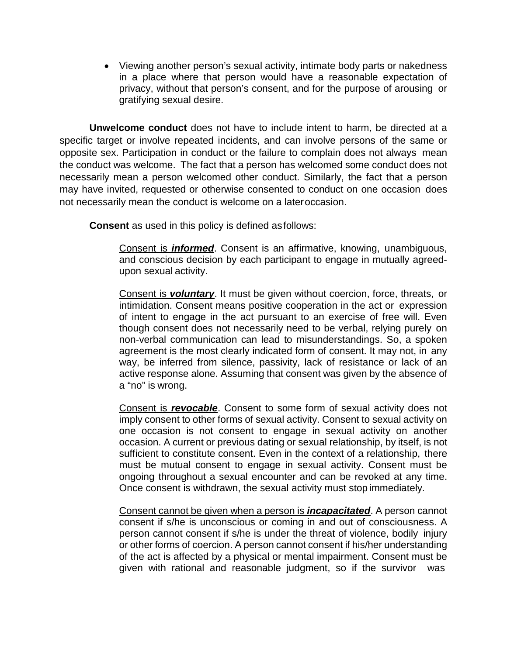• Viewing another person's sexual activity, intimate body parts or nakedness in a place where that person would have a reasonable expectation of privacy, without that person's consent, and for the purpose of arousing or gratifying sexual desire.

**Unwelcome conduct** does not have to include intent to harm, be directed at a specific target or involve repeated incidents, and can involve persons of the same or opposite sex. Participation in conduct or the failure to complain does not always mean the conduct was welcome. The fact that a person has welcomed some conduct does not necessarily mean a person welcomed other conduct. Similarly, the fact that a person may have invited, requested or otherwise consented to conduct on one occasion does not necessarily mean the conduct is welcome on a lateroccasion.

**Consent** as used in this policy is defined asfollows:

Consent is *informed*. Consent is an affirmative, knowing, unambiguous, and conscious decision by each participant to engage in mutually agreedupon sexual activity.

Consent is *voluntary*. It must be given without coercion, force, threats, or intimidation. Consent means positive cooperation in the act or expression of intent to engage in the act pursuant to an exercise of free will. Even though consent does not necessarily need to be verbal, relying purely on non-verbal communication can lead to misunderstandings. So, a spoken agreement is the most clearly indicated form of consent. It may not, in any way, be inferred from silence, passivity, lack of resistance or lack of an active response alone. Assuming that consent was given by the absence of a "no" is wrong.

Consent is *revocable*. Consent to some form of sexual activity does not imply consent to other forms of sexual activity. Consent to sexual activity on one occasion is not consent to engage in sexual activity on another occasion. A current or previous dating or sexual relationship, by itself, is not sufficient to constitute consent. Even in the context of a relationship, there must be mutual consent to engage in sexual activity. Consent must be ongoing throughout a sexual encounter and can be revoked at any time. Once consent is withdrawn, the sexual activity must stop immediately.

Consent cannot be given when a person is *incapacitated*. A person cannot consent if s/he is unconscious or coming in and out of consciousness. A person cannot consent if s/he is under the threat of violence, bodily injury or other forms of coercion. A person cannot consent if his/her understanding of the act is affected by a physical or mental impairment. Consent must be given with rational and reasonable judgment, so if the survivor was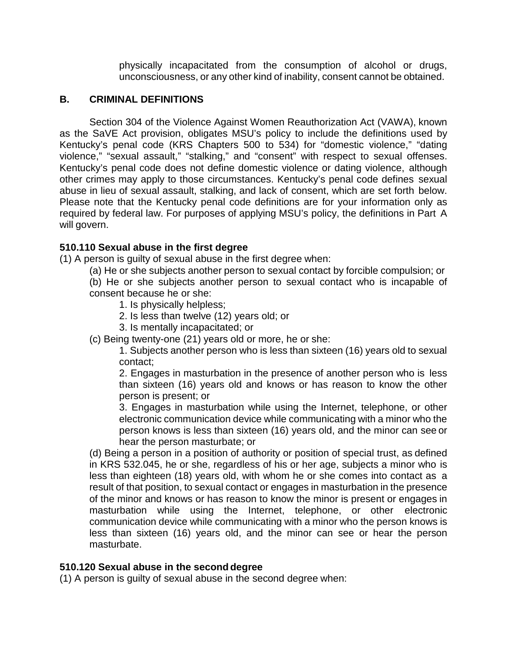physically incapacitated from the consumption of alcohol or drugs, unconsciousness, or any other kind of inability, consent cannot be obtained.

### **B. CRIMINAL DEFINITIONS**

Section 304 of the Violence Against Women Reauthorization Act (VAWA), known as the SaVE Act provision, obligates MSU's policy to include the definitions used by Kentucky's penal code (KRS Chapters 500 to 534) for "domestic violence," "dating violence," "sexual assault," "stalking," and "consent" with respect to sexual offenses. Kentucky's penal code does not define domestic violence or dating violence, although other crimes may apply to those circumstances. Kentucky's penal code defines sexual abuse in lieu of sexual assault, stalking, and lack of consent, which are set forth below. Please note that the Kentucky penal code definitions are for your information only as required by federal law. For purposes of applying MSU's policy, the definitions in Part A will govern.

## **510.110 Sexual abuse in the first degree**

(1) A person is guilty of sexual abuse in the first degree when:

(a) He or she subjects another person to sexual contact by forcible compulsion; or

(b) He or she subjects another person to sexual contact who is incapable of consent because he or she:

- 1. Is physically helpless;
- 2. Is less than twelve (12) years old; or
- 3. Is mentally incapacitated; or
- (c) Being twenty-one (21) years old or more, he or she:

1. Subjects another person who is less than sixteen (16) years old to sexual contact;

2. Engages in masturbation in the presence of another person who is less than sixteen (16) years old and knows or has reason to know the other person is present; or

3. Engages in masturbation while using the Internet, telephone, or other electronic communication device while communicating with a minor who the person knows is less than sixteen (16) years old, and the minor can see or hear the person masturbate; or

(d) Being a person in a position of authority or position of special trust, as defined in KRS 532.045, he or she, regardless of his or her age, subjects a minor who is less than eighteen (18) years old, with whom he or she comes into contact as a result of that position, to sexual contact or engages in masturbation in the presence of the minor and knows or has reason to know the minor is present or engages in masturbation while using the Internet, telephone, or other electronic communication device while communicating with a minor who the person knows is less than sixteen (16) years old, and the minor can see or hear the person masturbate.

### **510.120 Sexual abuse in the second degree**

(1) A person is guilty of sexual abuse in the second degree when: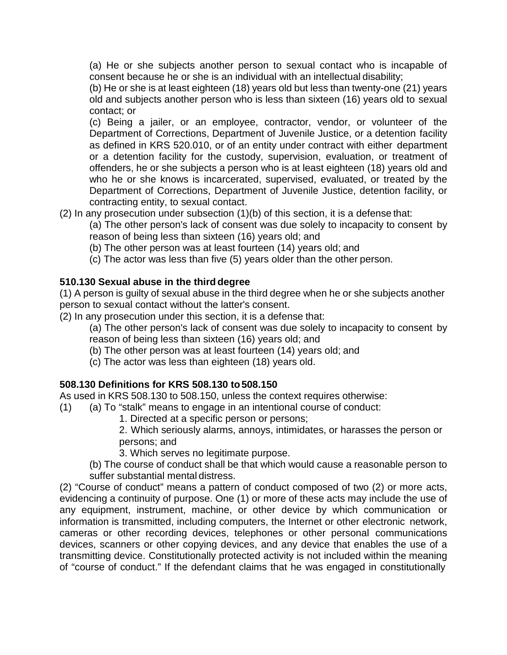(a) He or she subjects another person to sexual contact who is incapable of consent because he or she is an individual with an intellectual disability;

(b) He or she is at least eighteen (18) years old but less than twenty-one (21) years old and subjects another person who is less than sixteen (16) years old to sexual contact; or

(c) Being a jailer, or an employee, contractor, vendor, or volunteer of the Department of Corrections, Department of Juvenile Justice, or a detention facility as defined in KRS 520.010, or of an entity under contract with either department or a detention facility for the custody, supervision, evaluation, or treatment of offenders, he or she subjects a person who is at least eighteen (18) years old and who he or she knows is incarcerated, supervised, evaluated, or treated by the Department of Corrections, Department of Juvenile Justice, detention facility, or contracting entity, to sexual contact.

(2) In any prosecution under subsection (1)(b) of this section, it is a defense that:

(a) The other person's lack of consent was due solely to incapacity to consent by reason of being less than sixteen (16) years old; and

- (b) The other person was at least fourteen (14) years old; and
- (c) The actor was less than five (5) years older than the other person.

# **510.130 Sexual abuse in the third degree**

(1) A person is guilty of sexual abuse in the third degree when he or she subjects another person to sexual contact without the latter's consent.

(2) In any prosecution under this section, it is a defense that:

(a) The other person's lack of consent was due solely to incapacity to consent by reason of being less than sixteen (16) years old; and

- (b) The other person was at least fourteen (14) years old; and
- (c) The actor was less than eighteen (18) years old.

# **508.130 Definitions for KRS 508.130 to508.150**

As used in KRS 508.130 to 508.150, unless the context requires otherwise:

- (1) (a) To "stalk" means to engage in an intentional course of conduct:
	- 1. Directed at a specific person or persons;
	- 2. Which seriously alarms, annoys, intimidates, or harasses the person or persons; and
	- 3. Which serves no legitimate purpose.
	- (b) The course of conduct shall be that which would cause a reasonable person to suffer substantial mental distress.

(2) "Course of conduct" means a pattern of conduct composed of two (2) or more acts, evidencing a continuity of purpose. One (1) or more of these acts may include the use of any equipment, instrument, machine, or other device by which communication or information is transmitted, including computers, the Internet or other electronic network, cameras or other recording devices, telephones or other personal communications devices, scanners or other copying devices, and any device that enables the use of a transmitting device. Constitutionally protected activity is not included within the meaning of "course of conduct." If the defendant claims that he was engaged in constitutionally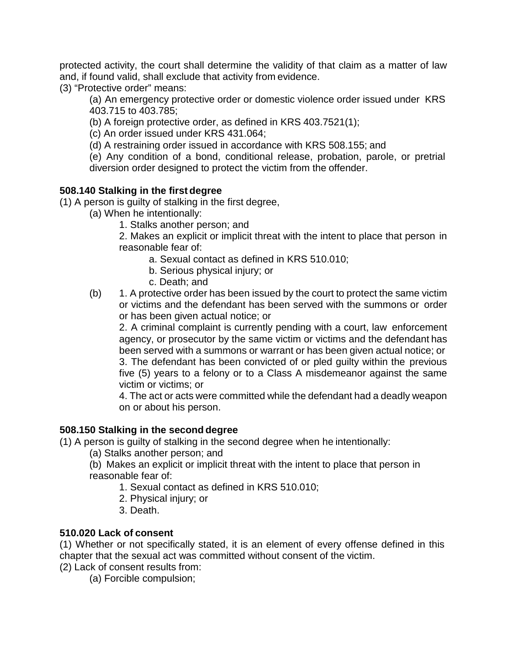protected activity, the court shall determine the validity of that claim as a matter of law and, if found valid, shall exclude that activity from evidence.

(3) "Protective order" means:

(a) An emergency protective order or domestic violence order issued under KRS 403.715 to 403.785;

(b) A foreign protective order, as defined in KRS 403.7521(1);

(c) An order issued under KRS 431.064;

(d) A restraining order issued in accordance with KRS 508.155; and

(e) Any condition of a bond, conditional release, probation, parole, or pretrial diversion order designed to protect the victim from the offender.

## **508.140 Stalking in the first degree**

(1) A person is guilty of stalking in the first degree,

- (a) When he intentionally:
	- 1. Stalks another person; and

2. Makes an explicit or implicit threat with the intent to place that person in reasonable fear of:

- a. Sexual contact as defined in KRS 510.010;
- b. Serious physical injury; or
- c. Death; and
- (b) 1. A protective order has been issued by the court to protect the same victim or victims and the defendant has been served with the summons or order or has been given actual notice; or

2. A criminal complaint is currently pending with a court, law enforcement agency, or prosecutor by the same victim or victims and the defendant has been served with a summons or warrant or has been given actual notice; or 3. The defendant has been convicted of or pled guilty within the previous five (5) years to a felony or to a Class A misdemeanor against the same victim or victims; or

4. The act or acts were committed while the defendant had a deadly weapon on or about his person.

# **508.150 Stalking in the second degree**

(1) A person is guilty of stalking in the second degree when he intentionally:

- (a) Stalks another person; and
- (b) Makes an explicit or implicit threat with the intent to place that person in reasonable fear of:
	- 1. Sexual contact as defined in KRS 510.010;
	- 2. Physical injury; or
	- 3. Death.

### **510.020 Lack of consent**

(1) Whether or not specifically stated, it is an element of every offense defined in this chapter that the sexual act was committed without consent of the victim.

(2) Lack of consent results from:

(a) Forcible compulsion;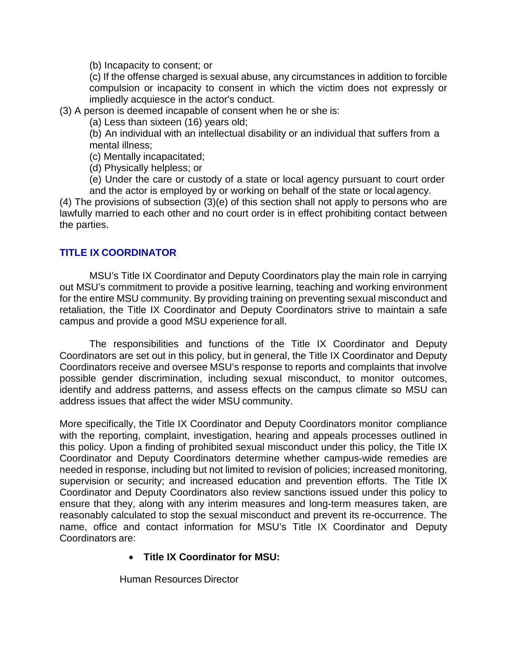(b) Incapacity to consent; or

(c) If the offense charged is sexual abuse, any circumstances in addition to forcible compulsion or incapacity to consent in which the victim does not expressly or impliedly acquiesce in the actor's conduct.

(3) A person is deemed incapable of consent when he or she is:

(a) Less than sixteen (16) years old;

(b) An individual with an intellectual disability or an individual that suffers from a mental illness;

(c) Mentally incapacitated;

(d) Physically helpless; or

(e) Under the care or custody of a state or local agency pursuant to court order and the actor is employed by or working on behalf of the state or localagency.

(4) The provisions of subsection (3)(e) of this section shall not apply to persons who are lawfully married to each other and no court order is in effect prohibiting contact between the parties.

## **TITLE IX COORDINATOR**

MSU's Title IX Coordinator and Deputy Coordinators play the main role in carrying out MSU's commitment to provide a positive learning, teaching and working environment for the entire MSU community. By providing training on preventing sexual misconduct and retaliation, the Title IX Coordinator and Deputy Coordinators strive to maintain a safe campus and provide a good MSU experience for all.

The responsibilities and functions of the Title IX Coordinator and Deputy Coordinators are set out in this policy, but in general, the Title IX Coordinator and Deputy Coordinators receive and oversee MSU's response to reports and complaints that involve possible gender discrimination, including sexual misconduct, to monitor outcomes, identify and address patterns, and assess effects on the campus climate so MSU can address issues that affect the wider MSU community.

More specifically, the Title IX Coordinator and Deputy Coordinators monitor compliance with the reporting, complaint, investigation, hearing and appeals processes outlined in this policy. Upon a finding of prohibited sexual misconduct under this policy, the Title IX Coordinator and Deputy Coordinators determine whether campus-wide remedies are needed in response, including but not limited to revision of policies; increased monitoring, supervision or security; and increased education and prevention efforts. The Title IX Coordinator and Deputy Coordinators also review sanctions issued under this policy to ensure that they, along with any interim measures and long-term measures taken, are reasonably calculated to stop the sexual misconduct and prevent its re-occurrence. The name, office and contact information for MSU's Title IX Coordinator and Deputy Coordinators are:

### • **Title IX Coordinator for MSU:**

Human Resources Director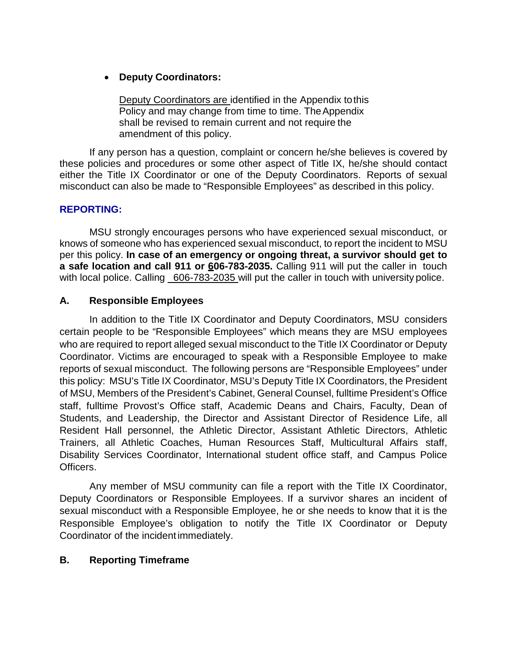## • **Deputy Coordinators:**

Deputy Coordinators are identified in the Appendix tothis Policy and may change from time to time. The Appendix shall be revised to remain current and not require the amendment of this policy.

If any person has a question, complaint or concern he/she believes is covered by these policies and procedures or some other aspect of Title IX, he/she should contact either the Title IX Coordinator or one of the Deputy Coordinators. Reports of sexual misconduct can also be made to "Responsible Employees" as described in this policy.

### **REPORTING:**

MSU strongly encourages persons who have experienced sexual misconduct, or knows of someone who has experienced sexual misconduct, to report the incident to MSU per this policy. **In case of an emergency or ongoing threat, a survivor should get to a safe location and call 911 or 606-783-2035.** Calling 911 will put the caller in touch with local police. Calling 606-783-2035 will put the caller in touch with university police.

## **A. Responsible Employees**

In addition to the Title IX Coordinator and Deputy Coordinators, MSU considers certain people to be "Responsible Employees" which means they are MSU employees who are required to report alleged sexual misconduct to the Title IX Coordinator or Deputy Coordinator. Victims are encouraged to speak with a Responsible Employee to make reports of sexual misconduct. The following persons are "Responsible Employees" under this policy: MSU's Title IX Coordinator, MSU's Deputy Title IX Coordinators, the President of MSU, Members of the President's Cabinet, General Counsel, fulltime President's Office staff, fulltime Provost's Office staff, Academic Deans and Chairs, Faculty, Dean of Students, and Leadership, the Director and Assistant Director of Residence Life, all Resident Hall personnel, the Athletic Director, Assistant Athletic Directors, Athletic Trainers, all Athletic Coaches, Human Resources Staff, Multicultural Affairs staff, Disability Services Coordinator, International student office staff, and Campus Police Officers.

Any member of MSU community can file a report with the Title IX Coordinator, Deputy Coordinators or Responsible Employees. If a survivor shares an incident of sexual misconduct with a Responsible Employee, he or she needs to know that it is the Responsible Employee's obligation to notify the Title IX Coordinator or Deputy Coordinator of the incident immediately.

### **B. Reporting Timeframe**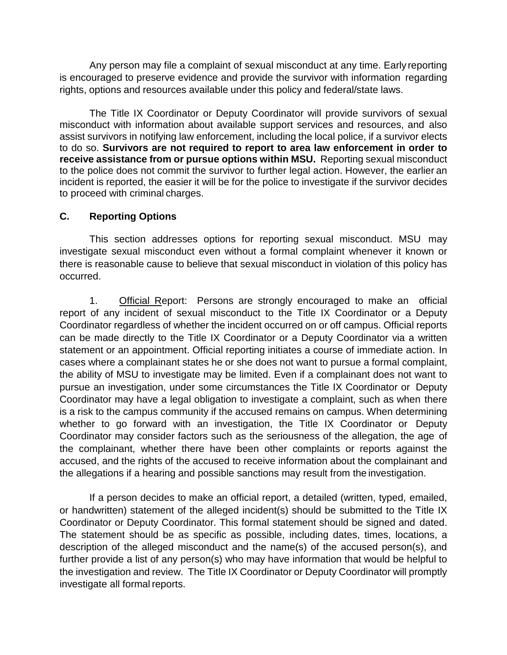Any person may file a complaint of sexual misconduct at any time. Early reporting is encouraged to preserve evidence and provide the survivor with information regarding rights, options and resources available under this policy and federal/state laws.

The Title IX Coordinator or Deputy Coordinator will provide survivors of sexual misconduct with information about available support services and resources, and also assist survivors in notifying law enforcement, including the local police, if a survivor elects to do so. **Survivors are not required to report to area law enforcement in order to receive assistance from or pursue options within MSU.** Reporting sexual misconduct to the police does not commit the survivor to further legal action. However, the earlier an incident is reported, the easier it will be for the police to investigate if the survivor decides to proceed with criminal charges.

## **C. Reporting Options**

This section addresses options for reporting sexual misconduct. MSU may investigate sexual misconduct even without a formal complaint whenever it known or there is reasonable cause to believe that sexual misconduct in violation of this policy has occurred.

1. Official Report: Persons are strongly encouraged to make an official report of any incident of sexual misconduct to the Title IX Coordinator or a Deputy Coordinator regardless of whether the incident occurred on or off campus. Official reports can be made directly to the Title IX Coordinator or a Deputy Coordinator via a written statement or an appointment. Official reporting initiates a course of immediate action. In cases where a complainant states he or she does not want to pursue a formal complaint, the ability of MSU to investigate may be limited. Even if a complainant does not want to pursue an investigation, under some circumstances the Title IX Coordinator or Deputy Coordinator may have a legal obligation to investigate a complaint, such as when there is a risk to the campus community if the accused remains on campus. When determining whether to go forward with an investigation, the Title IX Coordinator or Deputy Coordinator may consider factors such as the seriousness of the allegation, the age of the complainant, whether there have been other complaints or reports against the accused, and the rights of the accused to receive information about the complainant and the allegations if a hearing and possible sanctions may result from the investigation.

If a person decides to make an official report, a detailed (written, typed, emailed, or handwritten) statement of the alleged incident(s) should be submitted to the Title IX Coordinator or Deputy Coordinator. This formal statement should be signed and dated. The statement should be as specific as possible, including dates, times, locations, a description of the alleged misconduct and the name(s) of the accused person(s), and further provide a list of any person(s) who may have information that would be helpful to the investigation and review. The Title IX Coordinator or Deputy Coordinator will promptly investigate all formal reports.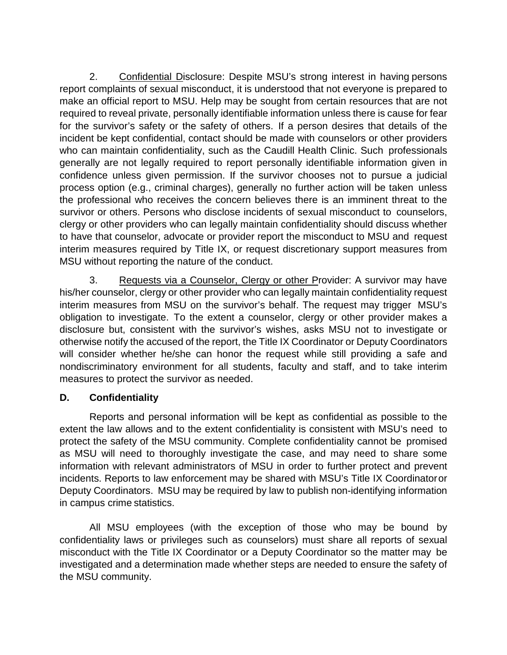2. Confidential Disclosure: Despite MSU's strong interest in having persons report complaints of sexual misconduct, it is understood that not everyone is prepared to make an official report to MSU. Help may be sought from certain resources that are not required to reveal private, personally identifiable information unless there is cause for fear for the survivor's safety or the safety of others. If a person desires that details of the incident be kept confidential, contact should be made with counselors or other providers who can maintain confidentiality, such as the Caudill Health Clinic. Such professionals generally are not legally required to report personally identifiable information given in confidence unless given permission. If the survivor chooses not to pursue a judicial process option (e.g., criminal charges), generally no further action will be taken unless the professional who receives the concern believes there is an imminent threat to the survivor or others. Persons who disclose incidents of sexual misconduct to counselors, clergy or other providers who can legally maintain confidentiality should discuss whether to have that counselor, advocate or provider report the misconduct to MSU and request interim measures required by Title IX, or request discretionary support measures from MSU without reporting the nature of the conduct.

3. Requests via a Counselor, Clergy or other Provider: A survivor may have his/her counselor, clergy or other provider who can legally maintain confidentiality request interim measures from MSU on the survivor's behalf. The request may trigger MSU's obligation to investigate. To the extent a counselor, clergy or other provider makes a disclosure but, consistent with the survivor's wishes, asks MSU not to investigate or otherwise notify the accused of the report, the Title IX Coordinator or Deputy Coordinators will consider whether he/she can honor the request while still providing a safe and nondiscriminatory environment for all students, faculty and staff, and to take interim measures to protect the survivor as needed.

# **D. Confidentiality**

Reports and personal information will be kept as confidential as possible to the extent the law allows and to the extent confidentiality is consistent with MSU's need to protect the safety of the MSU community. Complete confidentiality cannot be promised as MSU will need to thoroughly investigate the case, and may need to share some information with relevant administrators of MSU in order to further protect and prevent incidents. Reports to law enforcement may be shared with MSU's Title IX Coordinatoror Deputy Coordinators. MSU may be required by law to publish non-identifying information in campus crime statistics.

All MSU employees (with the exception of those who may be bound by confidentiality laws or privileges such as counselors) must share all reports of sexual misconduct with the Title IX Coordinator or a Deputy Coordinator so the matter may be investigated and a determination made whether steps are needed to ensure the safety of the MSU community.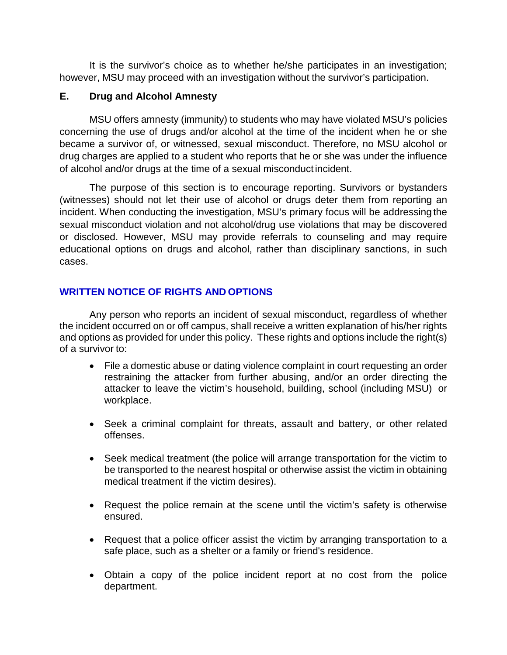It is the survivor's choice as to whether he/she participates in an investigation; however, MSU may proceed with an investigation without the survivor's participation.

## **E. Drug and Alcohol Amnesty**

MSU offers amnesty (immunity) to students who may have violated MSU's policies concerning the use of drugs and/or alcohol at the time of the incident when he or she became a survivor of, or witnessed, sexual misconduct. Therefore, no MSU alcohol or drug charges are applied to a student who reports that he or she was under the influence of alcohol and/or drugs at the time of a sexual misconduct incident.

The purpose of this section is to encourage reporting. Survivors or bystanders (witnesses) should not let their use of alcohol or drugs deter them from reporting an incident. When conducting the investigation, MSU's primary focus will be addressing the sexual misconduct violation and not alcohol/drug use violations that may be discovered or disclosed. However, MSU may provide referrals to counseling and may require educational options on drugs and alcohol, rather than disciplinary sanctions, in such cases.

# **WRITTEN NOTICE OF RIGHTS AND OPTIONS**

Any person who reports an incident of sexual misconduct, regardless of whether the incident occurred on or off campus, shall receive a written explanation of his/her rights and options as provided for under this policy. These rights and options include the right(s) of a survivor to:

- File a domestic abuse or dating violence complaint in court requesting an order restraining the attacker from further abusing, and/or an order directing the attacker to leave the victim's household, building, school (including MSU) or workplace.
- Seek a criminal complaint for threats, assault and battery, or other related offenses.
- Seek medical treatment (the police will arrange transportation for the victim to be transported to the nearest hospital or otherwise assist the victim in obtaining medical treatment if the victim desires).
- Request the police remain at the scene until the victim's safety is otherwise ensured.
- Request that a police officer assist the victim by arranging transportation to a safe place, such as a shelter or a family or friend's residence.
- Obtain a copy of the police incident report at no cost from the police department.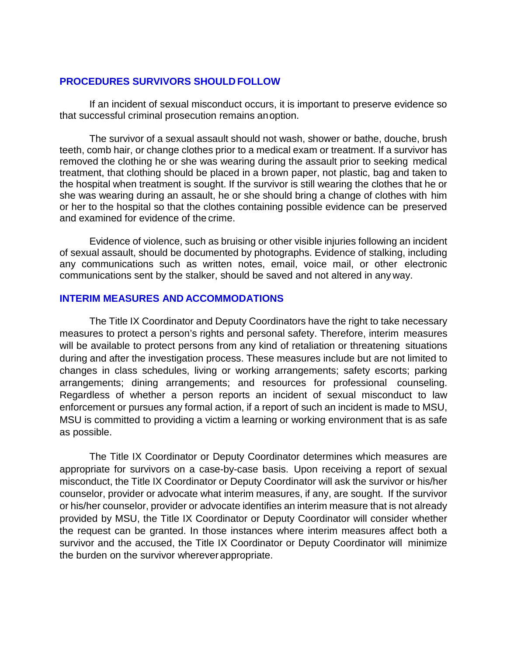#### **PROCEDURES SURVIVORS SHOULD FOLLOW**

If an incident of sexual misconduct occurs, it is important to preserve evidence so that successful criminal prosecution remains anoption.

The survivor of a sexual assault should not wash, shower or bathe, douche, brush teeth, comb hair, or change clothes prior to a medical exam or treatment. If a survivor has removed the clothing he or she was wearing during the assault prior to seeking medical treatment, that clothing should be placed in a brown paper, not plastic, bag and taken to the hospital when treatment is sought. If the survivor is still wearing the clothes that he or she was wearing during an assault, he or she should bring a change of clothes with him or her to the hospital so that the clothes containing possible evidence can be preserved and examined for evidence of the crime.

Evidence of violence, such as bruising or other visible injuries following an incident of sexual assault, should be documented by photographs. Evidence of stalking, including any communications such as written notes, email, voice mail, or other electronic communications sent by the stalker, should be saved and not altered in any way.

#### **INTERIM MEASURES AND ACCOMMODATIONS**

The Title IX Coordinator and Deputy Coordinators have the right to take necessary measures to protect a person's rights and personal safety. Therefore, interim measures will be available to protect persons from any kind of retaliation or threatening situations during and after the investigation process. These measures include but are not limited to changes in class schedules, living or working arrangements; safety escorts; parking arrangements; dining arrangements; and resources for professional counseling. Regardless of whether a person reports an incident of sexual misconduct to law enforcement or pursues any formal action, if a report of such an incident is made to MSU, MSU is committed to providing a victim a learning or working environment that is as safe as possible.

The Title IX Coordinator or Deputy Coordinator determines which measures are appropriate for survivors on a case-by-case basis. Upon receiving a report of sexual misconduct, the Title IX Coordinator or Deputy Coordinator will ask the survivor or his/her counselor, provider or advocate what interim measures, if any, are sought. If the survivor or his/her counselor, provider or advocate identifies an interim measure that is not already provided by MSU, the Title IX Coordinator or Deputy Coordinator will consider whether the request can be granted. In those instances where interim measures affect both a survivor and the accused, the Title IX Coordinator or Deputy Coordinator will minimize the burden on the survivor whereverappropriate.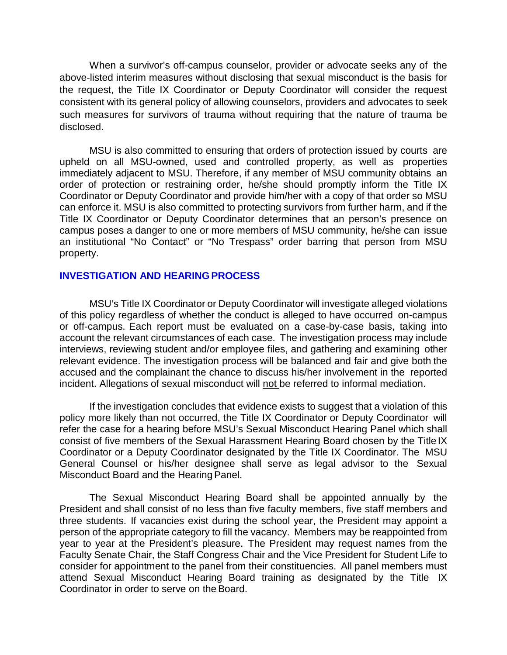When a survivor's off-campus counselor, provider or advocate seeks any of the above-listed interim measures without disclosing that sexual misconduct is the basis for the request, the Title IX Coordinator or Deputy Coordinator will consider the request consistent with its general policy of allowing counselors, providers and advocates to seek such measures for survivors of trauma without requiring that the nature of trauma be disclosed.

MSU is also committed to ensuring that orders of protection issued by courts are upheld on all MSU-owned, used and controlled property, as well as properties immediately adjacent to MSU. Therefore, if any member of MSU community obtains an order of protection or restraining order, he/she should promptly inform the Title IX Coordinator or Deputy Coordinator and provide him/her with a copy of that order so MSU can enforce it. MSU is also committed to protecting survivors from further harm, and if the Title IX Coordinator or Deputy Coordinator determines that an person's presence on campus poses a danger to one or more members of MSU community, he/she can issue an institutional "No Contact" or "No Trespass" order barring that person from MSU property.

#### **INVESTIGATION AND HEARING PROCESS**

MSU's Title IX Coordinator or Deputy Coordinator will investigate alleged violations of this policy regardless of whether the conduct is alleged to have occurred on-campus or off-campus. Each report must be evaluated on a case-by-case basis, taking into account the relevant circumstances of each case. The investigation process may include interviews, reviewing student and/or employee files, and gathering and examining other relevant evidence. The investigation process will be balanced and fair and give both the accused and the complainant the chance to discuss his/her involvement in the reported incident. Allegations of sexual misconduct will not be referred to informal mediation.

If the investigation concludes that evidence exists to suggest that a violation of this policy more likely than not occurred, the Title IX Coordinator or Deputy Coordinator will refer the case for a hearing before MSU's Sexual Misconduct Hearing Panel which shall consist of five members of the Sexual Harassment Hearing Board chosen by the Title IX Coordinator or a Deputy Coordinator designated by the Title IX Coordinator. The MSU General Counsel or his/her designee shall serve as legal advisor to the Sexual Misconduct Board and the Hearing Panel.

The Sexual Misconduct Hearing Board shall be appointed annually by the President and shall consist of no less than five faculty members, five staff members and three students. If vacancies exist during the school year, the President may appoint a person of the appropriate category to fill the vacancy. Members may be reappointed from year to year at the President's pleasure. The President may request names from the Faculty Senate Chair, the Staff Congress Chair and the Vice President for Student Life to consider for appointment to the panel from their constituencies. All panel members must attend Sexual Misconduct Hearing Board training as designated by the Title IX Coordinator in order to serve on the Board.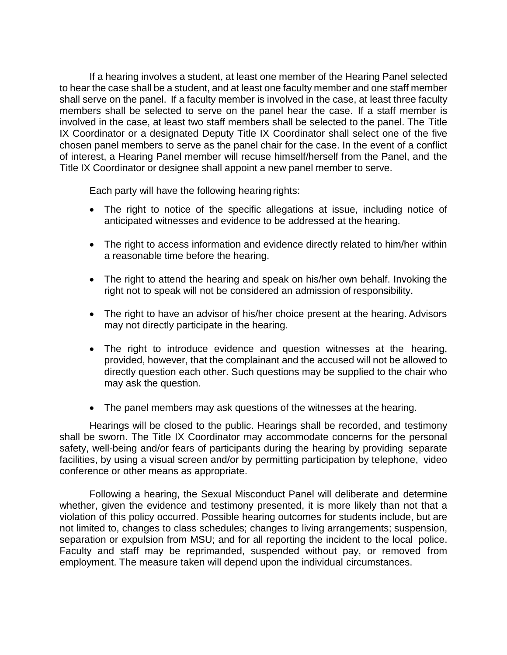If a hearing involves a student, at least one member of the Hearing Panel selected to hear the case shall be a student, and at least one faculty member and one staff member shall serve on the panel. If a faculty member is involved in the case, at least three faculty members shall be selected to serve on the panel hear the case. If a staff member is involved in the case, at least two staff members shall be selected to the panel. The Title IX Coordinator or a designated Deputy Title IX Coordinator shall select one of the five chosen panel members to serve as the panel chair for the case. In the event of a conflict of interest, a Hearing Panel member will recuse himself/herself from the Panel, and the Title IX Coordinator or designee shall appoint a new panel member to serve.

Each party will have the following hearingrights:

- The right to notice of the specific allegations at issue, including notice of anticipated witnesses and evidence to be addressed at the hearing.
- The right to access information and evidence directly related to him/her within a reasonable time before the hearing.
- The right to attend the hearing and speak on his/her own behalf. Invoking the right not to speak will not be considered an admission of responsibility.
- The right to have an advisor of his/her choice present at the hearing. Advisors may not directly participate in the hearing.
- The right to introduce evidence and question witnesses at the hearing, provided, however, that the complainant and the accused will not be allowed to directly question each other. Such questions may be supplied to the chair who may ask the question.
- The panel members may ask questions of the witnesses at the hearing.

Hearings will be closed to the public. Hearings shall be recorded, and testimony shall be sworn. The Title IX Coordinator may accommodate concerns for the personal safety, well-being and/or fears of participants during the hearing by providing separate facilities, by using a visual screen and/or by permitting participation by telephone, video conference or other means as appropriate.

Following a hearing, the Sexual Misconduct Panel will deliberate and determine whether, given the evidence and testimony presented, it is more likely than not that a violation of this policy occurred. Possible hearing outcomes for students include, but are not limited to, changes to class schedules; changes to living arrangements; suspension, separation or expulsion from MSU; and for all reporting the incident to the local police. Faculty and staff may be reprimanded, suspended without pay, or removed from employment. The measure taken will depend upon the individual circumstances.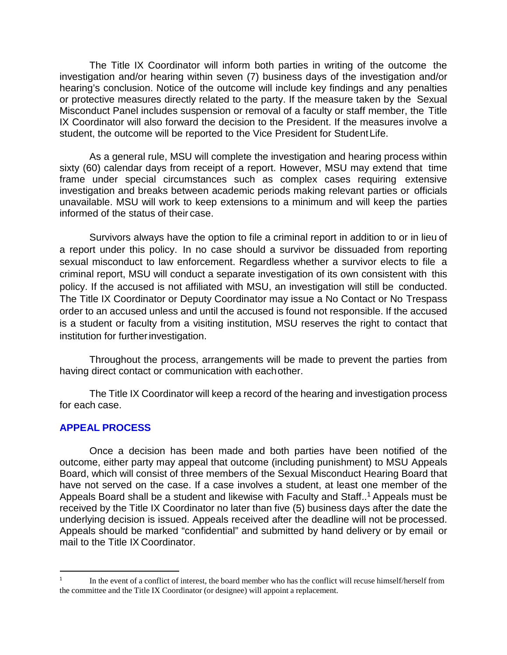The Title IX Coordinator will inform both parties in writing of the outcome the investigation and/or hearing within seven (7) business days of the investigation and/or hearing's conclusion. Notice of the outcome will include key findings and any penalties or protective measures directly related to the party. If the measure taken by the Sexual Misconduct Panel includes suspension or removal of a faculty or staff member, the Title IX Coordinator will also forward the decision to the President. If the measures involve a student, the outcome will be reported to the Vice President for StudentLife.

As a general rule, MSU will complete the investigation and hearing process within sixty (60) calendar days from receipt of a report. However, MSU may extend that time frame under special circumstances such as complex cases requiring extensive investigation and breaks between academic periods making relevant parties or officials unavailable. MSU will work to keep extensions to a minimum and will keep the parties informed of the status of their case.

Survivors always have the option to file a criminal report in addition to or in lieu of a report under this policy. In no case should a survivor be dissuaded from reporting sexual misconduct to law enforcement. Regardless whether a survivor elects to file a criminal report, MSU will conduct a separate investigation of its own consistent with this policy. If the accused is not affiliated with MSU, an investigation will still be conducted. The Title IX Coordinator or Deputy Coordinator may issue a No Contact or No Trespass order to an accused unless and until the accused is found not responsible. If the accused is a student or faculty from a visiting institution, MSU reserves the right to contact that institution for further investigation.

Throughout the process, arrangements will be made to prevent the parties from having direct contact or communication with eachother.

The Title IX Coordinator will keep a record of the hearing and investigation process for each case.

### **APPEAL PROCESS**

Once a decision has been made and both parties have been notified of the outcome, either party may appeal that outcome (including punishment) to MSU Appeals Board, which will consist of three members of the Sexual Misconduct Hearing Board that have not served on the case. If a case involves a student, at least one member of the Appeals Board shall be a student and likewise with Faculty and Staff..<sup>1</sup> Appeals must be received by the Title IX Coordinator no later than five (5) business days after the date the underlying decision is issued. Appeals received after the deadline will not be processed. Appeals should be marked "confidential" and submitted by hand delivery or by email or mail to the Title IX Coordinator.

In the event of a conflict of interest, the board member who has the conflict will recuse himself/herself from the committee and the Title IX Coordinator (or designee) will appoint a replacement.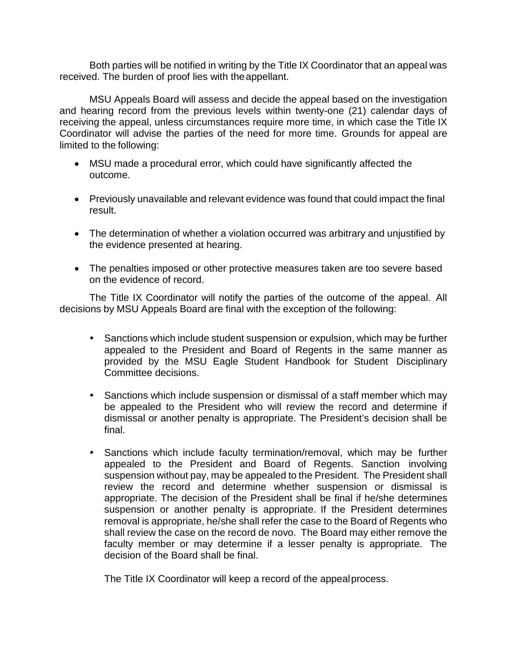Both parties will be notified in writing by the Title IX Coordinator that an appeal was received. The burden of proof lies with theappellant.

MSU Appeals Board will assess and decide the appeal based on the investigation and hearing record from the previous levels within twenty-one (21) calendar days of receiving the appeal, unless circumstances require more time, in which case the Title IX Coordinator will advise the parties of the need for more time. Grounds for appeal are limited to the following:

- MSU made a procedural error, which could have significantly affected the outcome.
- Previously unavailable and relevant evidence was found that could impact the final result.
- The determination of whether a violation occurred was arbitrary and unjustified by the evidence presented at hearing.
- The penalties imposed or other protective measures taken are too severe based on the evidence of record.

The Title IX Coordinator will notify the parties of the outcome of the appeal. All decisions by MSU Appeals Board are final with the exception of the following:

- Sanctions which include student suspension or expulsion, which may be further appealed to the President and Board of Regents in the same manner as provided by the MSU Eagle Student Handbook for Student Disciplinary Committee decisions.
- Sanctions which include suspension or dismissal of a staff member which may be appealed to the President who will review the record and determine if dismissal or another penalty is appropriate. The President's decision shall be final.
- Sanctions which include faculty termination/removal, which may be further appealed to the President and Board of Regents. Sanction involving suspension without pay, may be appealed to the President. The President shall review the record and determine whether suspension or dismissal is appropriate. The decision of the President shall be final if he/she determines suspension or another penalty is appropriate. If the President determines removal is appropriate, he/she shall refer the case to the Board of Regents who shall review the case on the record de novo. The Board may either remove the faculty member or may determine if a lesser penalty is appropriate. The decision of the Board shall be final.

The Title IX Coordinator will keep a record of the appealprocess.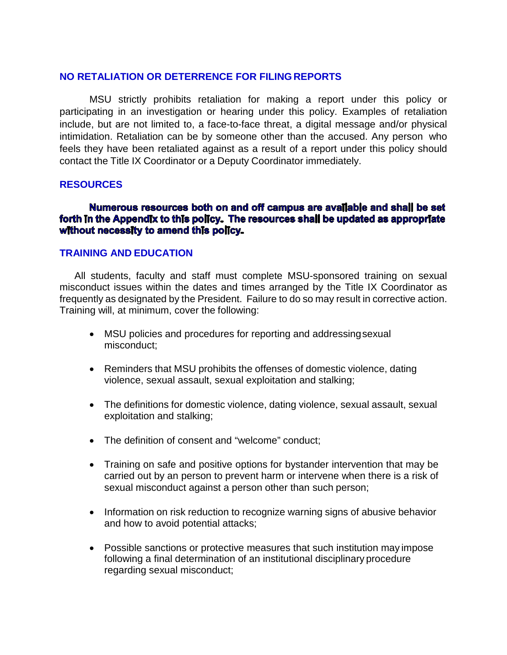## **NO RETALIATION OR DETERRENCE FOR FILINGREPORTS**

MSU strictly prohibits retaliation for making a report under this policy or participating in an investigation or hearing under this policy. Examples of retaliation include, but are not limited to, a face-to-face threat, a digital message and/or physical intimidation. Retaliation can be by someone other than the accused. Any person who feels they have been retaliated against as a result of a report under this policy should contact the Title IX Coordinator or a Deputy Coordinator immediately.

#### **RESOURCES**

### Numerous resources both on and off campus are available and shall be set forth In the Appendix to this policy. The resources shall be updated as appropriate without necessity to amend this policy.

#### **TRAINING AND EDUCATION**

All students, faculty and staff must complete MSU-sponsored training on sexual misconduct issues within the dates and times arranged by the Title IX Coordinator as frequently as designated by the President. Failure to do so may result in corrective action. Training will, at minimum, cover the following:

- MSU policies and procedures for reporting and addressingsexual misconduct;
- Reminders that MSU prohibits the offenses of domestic violence, dating violence, sexual assault, sexual exploitation and stalking;
- The definitions for domestic violence, dating violence, sexual assault, sexual exploitation and stalking;
- The definition of consent and "welcome" conduct;
- Training on safe and positive options for bystander intervention that may be carried out by an person to prevent harm or intervene when there is a risk of sexual misconduct against a person other than such person;
- Information on risk reduction to recognize warning signs of abusive behavior and how to avoid potential attacks;
- Possible sanctions or protective measures that such institution may impose following a final determination of an institutional disciplinary procedure regarding sexual misconduct;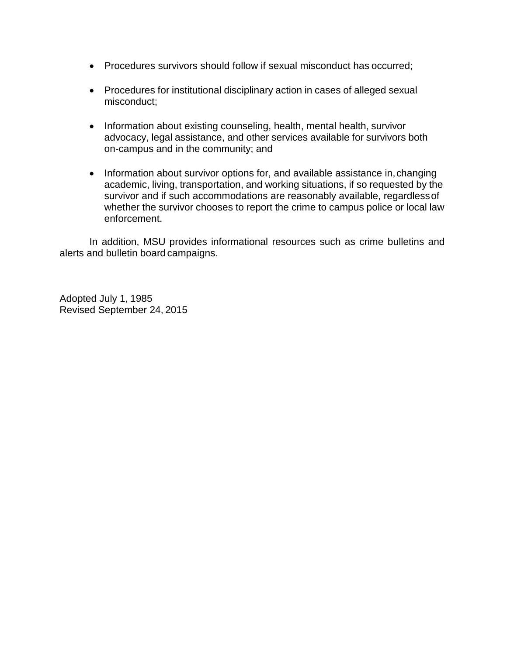- Procedures survivors should follow if sexual misconduct has occurred;
- Procedures for institutional disciplinary action in cases of alleged sexual misconduct;
- Information about existing counseling, health, mental health, survivor advocacy, legal assistance, and other services available for survivors both on-campus and in the community; and
- Information about survivor options for, and available assistance in, changing academic, living, transportation, and working situations, if so requested by the survivor and if such accommodations are reasonably available, regardlessof whether the survivor chooses to report the crime to campus police or local law enforcement.

In addition, MSU provides informational resources such as crime bulletins and alerts and bulletin board campaigns.

Adopted July 1, 1985 Revised September 24, 2015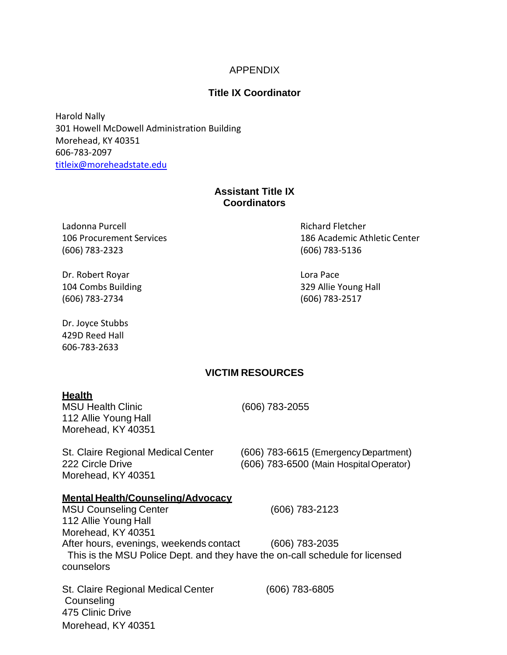#### APPENDIX

#### **Title IX Coordinator**

Harold Nally 301 Howell McDowell Administration Building Morehead, KY 40351 606-783-2097 [titleix@moreheadstate.edu](mailto:titleix@moreheadstate.edu)

#### **Assistant Title IX Coordinators**

Ladonna Purcell Richard Fletcher (606) 783-2323 (606) 783-5136

Dr. Robert Royar **Lora Pace** 104 Combs Building 329 Allie Young Hall (606) 783-2734 (606) 783-2517

Dr. Joyce Stubbs 429D Reed Hall 606-783-2633

106 Procurement Services 186 Academic Athletic Center

#### **VICTIM RESOURCES**

#### **Health**

MSU Health Clinic (606) 783-2055 112 Allie Young Hall Morehead, KY 40351

Morehead, KY 40351

St. Claire Regional Medical Center (606) 783-6615 (Emergency Department) 222 Circle Drive (606) 783-6500 (Main HospitalOperator)

#### **Mental Health/Counseling/Advocacy**

MSU Counseling Center (606) 783-2123 112 Allie Young Hall Morehead, KY 40351 After hours, evenings, weekends contact (606) 783-2035 This is the MSU Police Dept. and they have the on-call schedule for licensed counselors

St. Claire Regional Medical Center (606) 783-6805 **Counseling** 475 Clinic Drive Morehead, KY 40351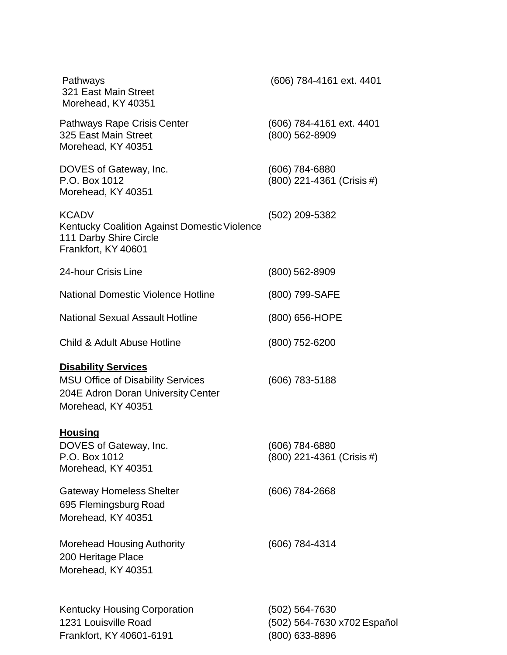| Pathways<br>321 East Main Street<br>Morehead, KY 40351                                                                             | (606) 784-4161 ext. 4401                                        |
|------------------------------------------------------------------------------------------------------------------------------------|-----------------------------------------------------------------|
| Pathways Rape Crisis Center<br>325 East Main Street<br>Morehead, KY 40351                                                          | (606) 784-4161 ext. 4401<br>(800) 562-8909                      |
| DOVES of Gateway, Inc.<br>P.O. Box 1012<br>Morehead, KY 40351                                                                      | (606) 784-6880<br>(800) 221-4361 (Crisis #)                     |
| <b>KCADV</b><br>Kentucky Coalition Against Domestic Violence<br>111 Darby Shire Circle<br>Frankfort, KY 40601                      | (502) 209-5382                                                  |
| 24-hour Crisis Line                                                                                                                | $(800)$ 562-8909                                                |
| <b>National Domestic Violence Hotline</b>                                                                                          | (800) 799-SAFE                                                  |
| <b>National Sexual Assault Hotline</b>                                                                                             | (800) 656-HOPE                                                  |
| Child & Adult Abuse Hotline                                                                                                        | $(800)$ 752-6200                                                |
| <b>Disability Services</b><br><b>MSU Office of Disability Services</b><br>204E Adron Doran University Center<br>Morehead, KY 40351 | $(606)$ 783-5188                                                |
| <b>Housing</b><br>DOVES of Gateway, Inc.<br>P.O. Box 1012<br>Morehead, KY 40351                                                    | (606) 784-6880<br>(800) 221-4361 (Crisis #)                     |
| <b>Gateway Homeless Shelter</b><br>695 Flemingsburg Road<br>Morehead, KY 40351                                                     | $(606)$ 784-2668                                                |
| <b>Morehead Housing Authority</b><br>200 Heritage Place<br>Morehead, KY 40351                                                      | (606) 784-4314                                                  |
| <b>Kentucky Housing Corporation</b><br>1231 Louisville Road<br>Frankfort, KY 40601-6191                                            | (502) 564-7630<br>(502) 564-7630 x702 Español<br>(800) 633-8896 |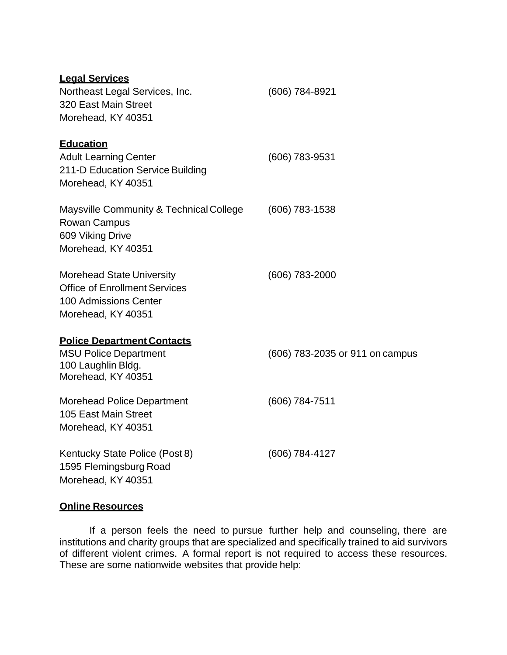| <b>Legal Services</b><br>Northeast Legal Services, Inc.<br>320 East Main Street<br>Morehead, KY 40351                   | (606) 784-8921                  |
|-------------------------------------------------------------------------------------------------------------------------|---------------------------------|
| <b>Education</b><br><b>Adult Learning Center</b><br>211-D Education Service Building<br>Morehead, KY 40351              | (606) 783-9531                  |
| Maysville Community & Technical College<br><b>Rowan Campus</b><br>609 Viking Drive<br>Morehead, KY 40351                | $(606)$ 783-1538                |
| <b>Morehead State University</b><br><b>Office of Enrollment Services</b><br>100 Admissions Center<br>Morehead, KY 40351 | (606) 783-2000                  |
| <b>Police Department Contacts</b><br><b>MSU Police Department</b><br>100 Laughlin Bldg.<br>Morehead, KY 40351           | (606) 783-2035 or 911 on campus |
| <b>Morehead Police Department</b><br>105 East Main Street<br>Morehead, KY 40351                                         | (606) 784-7511                  |
| Kentucky State Police (Post 8)<br>1595 Flemingsburg Road<br>Morehead, KY 40351                                          | (606) 784-4127                  |

# **Online Resources**

If a person feels the need to pursue further help and counseling, there are institutions and charity groups that are specialized and specifically trained to aid survivors of different violent crimes. A formal report is not required to access these resources. These are some nationwide websites that provide help: